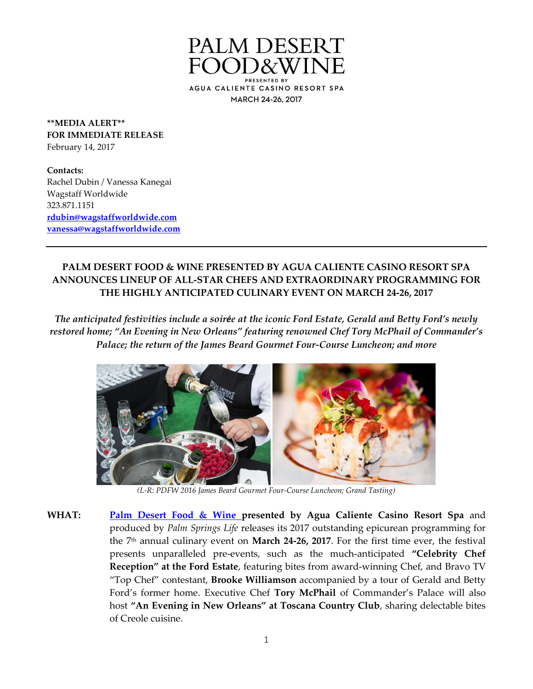

**\*\*MEDIA ALERT\*\* FOR IMMEDIATE RELEASE** February 14, 2017

**Contacts:** Rachel Dubin / Vanessa Kanegai Wagstaff Worldwide 323.871.1151 **[rdubin@wagstaffworldwide.com](mailto:rdubin@wagstaffworldwide.com) [vanessa@wagstaffworldwide.com](mailto:morgan@wagstaffworldwide.com)**

## **PALM DESERT FOOD & WINE PRESENTED BY AGUA CALIENTE CASINO RESORT SPA ANNOUNCES LINEUP OF ALL-STAR CHEFS AND EXTRAORDINARY PROGRAMMING FOR THE HIGHLY ANTICIPATED CULINARY EVENT ON MARCH 24-26, 2017**

*The anticipated festivities include a soirée at the iconic Ford Estate, Gerald and Betty Ford's newly restored home; "An Evening in New Orleans" featuring renowned Chef Tory McPhail of Commander's Palace; the return of the James Beard Gourmet Four-Course Luncheon; and more*



*(L-R: PDFW 2016 James Beard Gourmet Four-Course Luncheon; Grand Tasting)*

**WHAT: [Palm Desert Food & Wine p](http://www.palmdesertfoodandwine.com/index.html)resented by Agua Caliente Casino Resort Spa** and produced by *Palm Springs Life* releases its 2017 outstanding epicurean programming for the 7 th annual culinary event on **March 24-26, 2017**. For the first time ever, the festival presents unparalleled pre-events, such as the much-anticipated **"Celebrity Chef Reception" at the Ford Estate**, featuring bites from award-winning Chef, and Bravo TV "Top Chef" contestant, **Brooke Williamson** accompanied by a tour of Gerald and Betty Ford's former home. Executive Chef **Tory McPhail** of Commander's Palace will also host **"An Evening in New Orleans" at Toscana Country Club**, sharing delectable bites of Creole cuisine.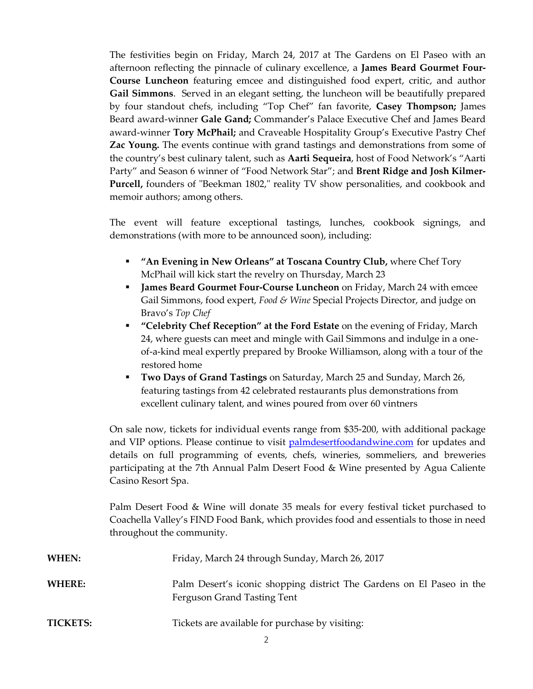The festivities begin on Friday, March 24, 2017 at The Gardens on El Paseo with an afternoon reflecting the pinnacle of culinary excellence, a **James Beard Gourmet Four-Course Luncheon** featuring emcee and distinguished food expert, critic, and author **Gail Simmons**. Served in an elegant setting, the luncheon will be beautifully prepared by four standout chefs, including "Top Chef" fan favorite, **Casey Thompson;** James Beard award-winner **Gale Gand;** Commander's Palace Executive Chef and James Beard award-winner **Tory McPhail;** and Craveable Hospitality Group's Executive Pastry Chef **Zac Young.** The events continue with grand tastings and demonstrations from some of the country's best culinary talent, such as **Aarti Sequeira**, host of Food Network's "Aarti Party" and Season 6 winner of "Food Network Star"; and **Brent Ridge and Josh Kilmer-Purcell,** founders of "Beekman 1802," reality TV show personalities, and cookbook and memoir authors; among others.

The event will feature exceptional tastings, lunches, cookbook signings, and demonstrations (with more to be announced soon), including:

- **"An Evening in New Orleans" at Toscana Country Club,** where Chef Tory McPhail will kick start the revelry on Thursday, March 23
- **James Beard Gourmet Four-Course Luncheon** on Friday, March 24 with emcee Gail Simmons, food expert, *Food & Wine* Special Projects Director, and judge on Bravo's *Top Chef*
- **"Celebrity Chef Reception" at the Ford Estate** on the evening of Friday, March 24, where guests can meet and mingle with Gail Simmons and indulge in a oneof-a-kind meal expertly prepared by Brooke Williamson, along with a tour of the restored home
- **Two Days of Grand Tastings** on Saturday, March 25 and Sunday, March 26, featuring tastings from 42 celebrated restaurants plus demonstrations from excellent culinary talent, and wines poured from over 60 vintners

On sale now, tickets for individual events range from \$35-200, with additional package and VIP options. Please continue to visit [palmdesertfoodandwine.com](http://www.palmdesertfoodandwine.com/index.html) for updates and details on full programming of events, chefs, wineries, sommeliers, and breweries participating at the 7th Annual Palm Desert Food & Wine presented by Agua Caliente Casino Resort Spa.

Palm Desert Food & Wine will donate 35 meals for every festival ticket purchased to Coachella Valley's FIND Food Bank, which provides food and essentials to those in need throughout the community.

| WHEN:           | Friday, March 24 through Sunday, March 26, 2017                                                      |
|-----------------|------------------------------------------------------------------------------------------------------|
| WHERE:          | Palm Desert's iconic shopping district The Gardens on El Paseo in the<br>Ferguson Grand Tasting Tent |
| <b>TICKETS:</b> | Tickets are available for purchase by visiting:                                                      |